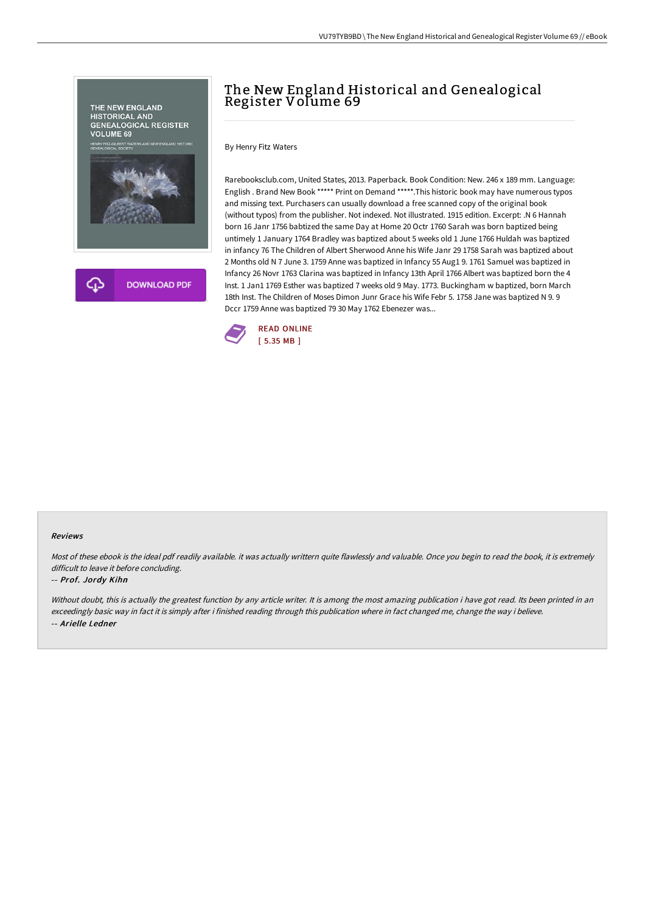

## The New England Historical and Genealogical Register Volume 69

By Henry Fitz Waters

Rarebooksclub.com, United States, 2013. Paperback. Book Condition: New. 246 x 189 mm. Language: English . Brand New Book \*\*\*\*\* Print on Demand \*\*\*\*\*.This historic book may have numerous typos and missing text. Purchasers can usually download a free scanned copy of the original book (without typos) from the publisher. Not indexed. Not illustrated. 1915 edition. Excerpt: .N 6 Hannah born 16 Janr 1756 babtized the same Day at Home 20 Octr 1760 Sarah was born baptized being untimely 1 January 1764 Bradley was baptized about 5 weeks old 1 June 1766 Huldah was baptized in infancy 76 The Children of Albert Sherwood Anne his Wife Janr 29 1758 Sarah was baptized about 2 Months old N 7 June 3. 1759 Anne was baptized in Infancy 55 Aug1 9. 1761 Samuel was baptized in Infancy 26 Novr 1763 Clarina was baptized in Infancy 13th April 1766 Albert was baptized born the 4 Inst. 1 Jan1 1769 Esther was baptized 7 weeks old 9 May. 1773. Buckingham w baptized, born March 18th Inst. The Children of Moses Dimon Junr Grace his Wife Febr 5. 1758 Jane was baptized N 9. 9 Dccr 1759 Anne was baptized 79 30 May 1762 Ebenezer was...



#### Reviews

Most of these ebook is the ideal pdf readily available. it was actually writtern quite flawlessly and valuable. Once you begin to read the book, it is extremely difficult to leave it before concluding.

#### -- Prof. Jordy Kihn

Without doubt, this is actually the greatest function by any article writer. It is among the most amazing publication i have got read. Its been printed in an exceedingly basic way in fact it is simply after i finished reading through this publication where in fact changed me, change the way i believe. -- Arielle Ledner